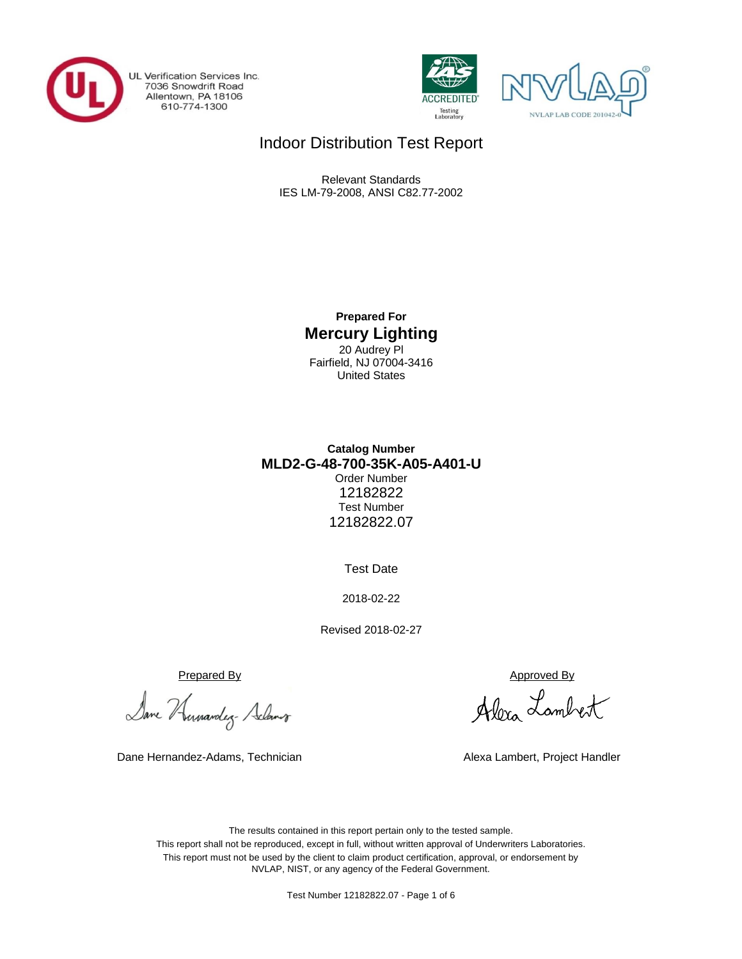

UL Verification Services Inc. 7036 Snowdrift Road<br>Allentown, PA 18106<br>610-774-1300





# Indoor Distribution Test Report

Relevant Standards IES LM-79-2008, ANSI C82.77-2002

> **Prepared For Mercury Lighting** 20 Audrey Pl Fairfield, NJ 07004-3416 United States

## **MLD2-G-48-700-35K-A05-A401-U Catalog Number** Order Number 12182822 Test Number 12182822.07

Test Date

2018-02-22

Revised 2018-02-27

Prepared By Approved By

Dane Humandez- Adams

Dane Hernandez-Adams, Technician Alexa Lambert, Project Handler

Alexa Lambert

The results contained in this report pertain only to the tested sample. This report shall not be reproduced, except in full, without written approval of Underwriters Laboratories. This report must not be used by the client to claim product certification, approval, or endorsement by NVLAP, NIST, or any agency of the Federal Government.

Test Number 12182822.07 - Page 1 of 6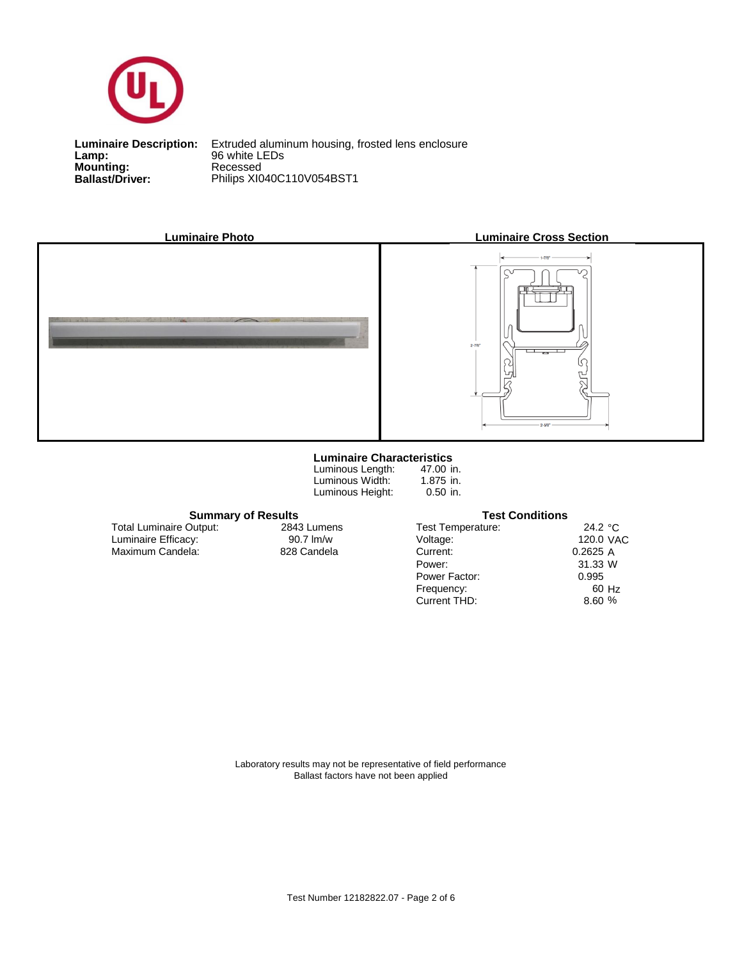

**Lamp:**<br>Mounting:<br>Ballast/Driver: **Lamp:** 96 white LEDs

**Ballast/Driver:** Philips XI040C110V054BST1 **Luminaire Description:** Extruded aluminum housing, frosted lens enclosure



#### **Luminaire Characteristics**

| Luminous Length: |
|------------------|
| Luminous Width:  |
| Luminous Height: |

47.00 in. 1.875 in. 0.50 in.

### **Summary of Results Test Conditions**

Maximum Candela: 828 Candela Luminaire Efficacy: Total Luminaire Output:

2843 Lumens<br>90.7 lm/w

| 24.2 $\degree$ C |
|------------------|
| 120.0 VAC        |
| 0.2625A          |
| 31.33 W          |
| 0.995            |
| 60 Hz            |
| 8.60%            |
|                  |

Laboratory results may not be representative of field performance Ballast factors have not been applied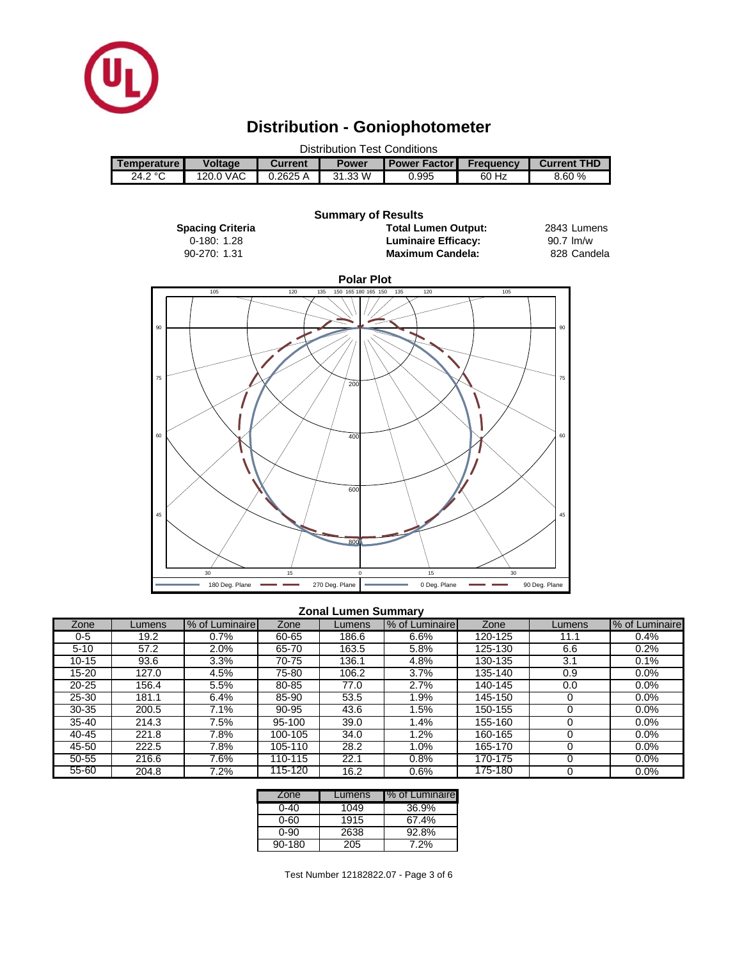

# **Distribution - Goniophotometer**



#### **Zonal Lumen Summary**

| Zone      | Lumens | % of Luminaire | Zone    | Lumens | % of Luminaire | Zone    | Lumens | % of Luminaire |
|-----------|--------|----------------|---------|--------|----------------|---------|--------|----------------|
| 0-5       | 19.2   | $0.7\%$        | 60-65   | 186.6  | 6.6%           | 120-125 | 11.1   | 0.4%           |
| $5 - 10$  | 57.2   | $2.0\%$        | 65-70   | 163.5  | 5.8%           | 125-130 | 6.6    | 0.2%           |
| $10 - 15$ | 93.6   | 3.3%           | 70-75   | 136.1  | 4.8%           | 130-135 | 3.1    | 0.1%           |
| 15-20     | 127.0  | 4.5%           | 75-80   | 106.2  | 3.7%           | 135-140 | 0.9    | 0.0%           |
| $20 - 25$ | 156.4  | 5.5%           | 80-85   | 77.0   | 2.7%           | 140-145 | 0.0    | 0.0%           |
| 25-30     | 181.1  | 6.4%           | 85-90   | 53.5   | .9%            | 145-150 |        | 0.0%           |
| $30 - 35$ | 200.5  | 7.1%           | 90-95   | 43.6   | .5%            | 150-155 |        | 0.0%           |
| $35 - 40$ | 214.3  | 7.5%           | 95-100  | 39.0   | .4%            | 155-160 |        | 0.0%           |
| 40-45     | 221.8  | 7.8%           | 100-105 | 34.0   | $.2\%$         | 160-165 |        | 0.0%           |
| 45-50     | 222.5  | 7.8%           | 105-110 | 28.2   | .0%            | 165-170 |        | 0.0%           |
| 50-55     | 216.6  | 7.6%           | 110-115 | 22.1   | $0.8\%$        | 170-175 |        | 0.0%           |
| 55-60     | 204.8  | 7.2%           | 115-120 | 16.2   | 0.6%           | 175-180 |        | 0.0%           |

| Zone   | Lumens | I% of Luminaire |
|--------|--------|-----------------|
| ი-4ი   | 1049   | 36.9%           |
| 0-60   | 1915   | 67.4%           |
| ი-90   | 2638   | 92.8%           |
| 90-180 | 205    | $7.2\%$         |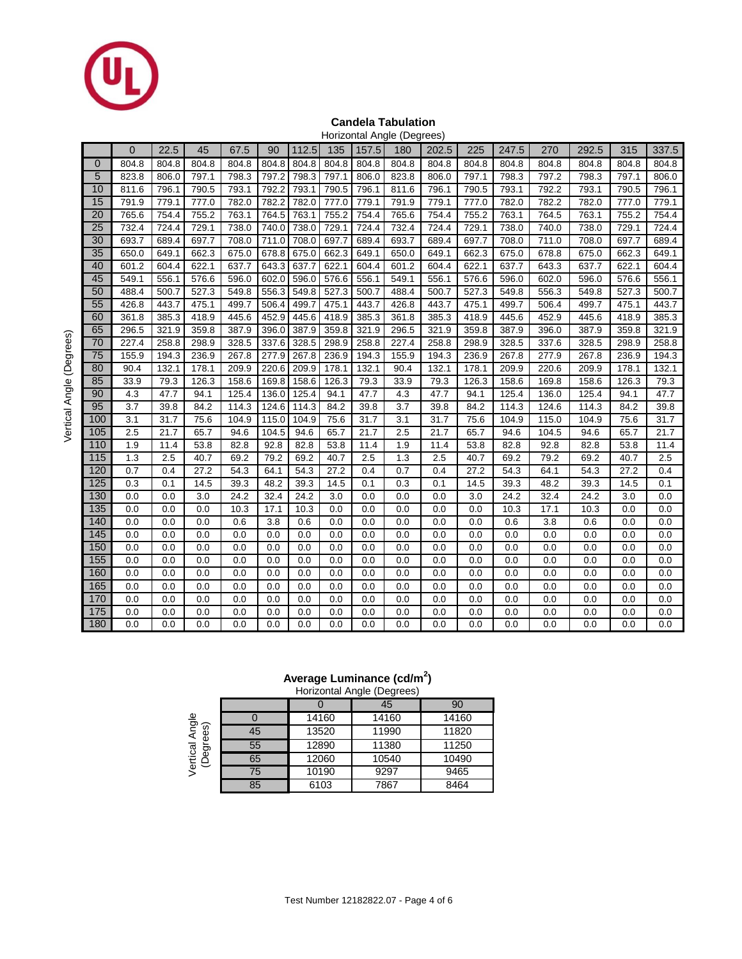

#### **Candela Tabulation** Horizontal Angle (Degrees)

|                  |              |       |       |       |       |       |       |       | Horizonial Angle (Degrees) |       |       |       |       |       |       |       |
|------------------|--------------|-------|-------|-------|-------|-------|-------|-------|----------------------------|-------|-------|-------|-------|-------|-------|-------|
|                  | $\mathbf{0}$ | 22.5  | 45    | 67.5  | 90    | 112.5 | 135   | 157.5 | 180                        | 202.5 | 225   | 247.5 | 270   | 292.5 | 315   | 337.5 |
| 0                | 804.8        | 804.8 | 804.8 | 804.8 | 804.8 | 804.8 | 804.8 | 804.8 | 804.8                      | 804.8 | 804.8 | 804.8 | 804.8 | 804.8 | 804.8 | 804.8 |
| 5                | 823.8        | 806.0 | 797.1 | 798.3 | 797.2 | 798.3 | 797.1 | 806.0 | 823.8                      | 806.0 | 797.1 | 798.3 | 797.2 | 798.3 | 797.1 | 806.0 |
| 10               | 811.6        | 796.1 | 790.5 | 793.1 | 792.2 | 793.1 | 790.5 | 796.1 | 811.6                      | 796.1 | 790.5 | 793.1 | 792.2 | 793.1 | 790.5 | 796.1 |
| 15               | 791.9        | 779.1 | 777.0 | 782.0 | 782.2 | 782.0 | 777.0 | 779.1 | 791.9                      | 779.1 | 777.0 | 782.0 | 782.2 | 782.0 | 777.0 | 779.1 |
| 20               | 765.6        | 754.4 | 755.2 | 763.1 | 764.5 | 763.1 | 755.2 | 754.4 | 765.6                      | 754.4 | 755.2 | 763.1 | 764.5 | 763.1 | 755.2 | 754.4 |
| 25               | 732.4        | 724.4 | 729.1 | 738.0 | 740.0 | 738.0 | 729.1 | 724.4 | 732.4                      | 724.4 | 729.1 | 738.0 | 740.0 | 738.0 | 729.1 | 724.4 |
| 30               | 693.7        | 689.4 | 697.7 | 708.0 | 711.0 | 708.0 | 697.7 | 689.4 | 693.7                      | 689.4 | 697.7 | 708.0 | 711.0 | 708.0 | 697.7 | 689.4 |
| 35               | 650.0        | 649.1 | 662.3 | 675.0 | 678.8 | 675.0 | 662.3 | 649.1 | 650.0                      | 649.1 | 662.3 | 675.0 | 678.8 | 675.0 | 662.3 | 649.1 |
| 40               | 601.2        | 604.4 | 622.1 | 637.7 | 643.3 | 637.7 | 622.1 | 604.4 | 601.2                      | 604.4 | 622.1 | 637.7 | 643.3 | 637.7 | 622.1 | 604.4 |
| 45               | 549.1        | 556.1 | 576.6 | 596.0 | 602.0 | 596.0 | 576.6 | 556.1 | 549.1                      | 556.1 | 576.6 | 596.0 | 602.0 | 596.0 | 576.6 | 556.1 |
| 50               | 488.4        | 500.7 | 527.3 | 549.8 | 556.3 | 549.8 | 527.3 | 500.7 | 488.4                      | 500.7 | 527.3 | 549.8 | 556.3 | 549.8 | 527.3 | 500.7 |
| 55               | 426.8        | 443.7 | 475.1 | 499.7 | 506.4 | 499.7 | 475.1 | 443.7 | 426.8                      | 443.7 | 475.1 | 499.7 | 506.4 | 499.7 | 475.1 | 443.7 |
| 60               | 361.8        | 385.3 | 418.9 | 445.6 | 452.9 | 445.6 | 418.9 | 385.3 | 361.8                      | 385.3 | 418.9 | 445.6 | 452.9 | 445.6 | 418.9 | 385.3 |
| 65               | 296.5        | 321.9 | 359.8 | 387.9 | 396.0 | 387.9 | 359.8 | 321.9 | 296.5                      | 321.9 | 359.8 | 387.9 | 396.0 | 387.9 | 359.8 | 321.9 |
| 70               | 227.4        | 258.8 | 298.9 | 328.5 | 337.6 | 328.5 | 298.9 | 258.8 | 227.4                      | 258.8 | 298.9 | 328.5 | 337.6 | 328.5 | 298.9 | 258.8 |
| 75               | 155.9        | 194.3 | 236.9 | 267.8 | 277.9 | 267.8 | 236.9 | 194.3 | 155.9                      | 194.3 | 236.9 | 267.8 | 277.9 | 267.8 | 236.9 | 194.3 |
| 80               | 90.4         | 132.1 | 178.1 | 209.9 | 220.6 | 209.9 | 178.1 | 132.1 | 90.4                       | 132.1 | 178.1 | 209.9 | 220.6 | 209.9 | 178.1 | 132.1 |
| 85               | 33.9         | 79.3  | 126.3 | 158.6 | 169.8 | 158.6 | 126.3 | 79.3  | 33.9                       | 79.3  | 126.3 | 158.6 | 169.8 | 158.6 | 126.3 | 79.3  |
| 90               | 4.3          | 47.7  | 94.1  | 125.4 | 136.0 | 125.4 | 94.1  | 47.7  | 4.3                        | 47.7  | 94.1  | 125.4 | 136.0 | 125.4 | 94.1  | 47.7  |
| 95               | 3.7          | 39.8  | 84.2  | 114.3 | 124.6 | 114.3 | 84.2  | 39.8  | 3.7                        | 39.8  | 84.2  | 114.3 | 124.6 | 114.3 | 84.2  | 39.8  |
| 100              | 3.1          | 31.7  | 75.6  | 104.9 | 115.0 | 104.9 | 75.6  | 31.7  | 3.1                        | 31.7  | 75.6  | 104.9 | 115.0 | 104.9 | 75.6  | 31.7  |
| 105              | 2.5          | 21.7  | 65.7  | 94.6  | 104.5 | 94.6  | 65.7  | 21.7  | 2.5                        | 21.7  | 65.7  | 94.6  | 104.5 | 94.6  | 65.7  | 21.7  |
| 110              | 1.9          | 11.4  | 53.8  | 82.8  | 92.8  | 82.8  | 53.8  | 11.4  | 1.9                        | 11.4  | 53.8  | 82.8  | 92.8  | 82.8  | 53.8  | 11.4  |
| 115              | 1.3          | 2.5   | 40.7  | 69.2  | 79.2  | 69.2  | 40.7  | 2.5   | 1.3                        | 2.5   | 40.7  | 69.2  | 79.2  | 69.2  | 40.7  | 2.5   |
| 120              | 0.7          | 0.4   | 27.2  | 54.3  | 64.1  | 54.3  | 27.2  | 0.4   | 0.7                        | 0.4   | 27.2  | 54.3  | 64.1  | 54.3  | 27.2  | 0.4   |
| 125              | 0.3          | 0.1   | 14.5  | 39.3  | 48.2  | 39.3  | 14.5  | 0.1   | 0.3                        | 0.1   | 14.5  | 39.3  | 48.2  | 39.3  | 14.5  | 0.1   |
| 130              | 0.0          | 0.0   | 3.0   | 24.2  | 32.4  | 24.2  | 3.0   | 0.0   | 0.0                        | 0.0   | 3.0   | 24.2  | 32.4  | 24.2  | 3.0   | 0.0   |
| 135              | 0.0          | 0.0   | 0.0   | 10.3  | 17.1  | 10.3  | 0.0   | 0.0   | 0.0                        | 0.0   | 0.0   | 10.3  | 17.1  | 10.3  | 0.0   | 0.0   |
| 140              | 0.0          | 0.0   | 0.0   | 0.6   | 3.8   | 0.6   | 0.0   | 0.0   | 0.0                        | 0.0   | 0.0   | 0.6   | 3.8   | 0.6   | 0.0   | 0.0   |
| 145              | 0.0          | 0.0   | 0.0   | 0.0   | 0.0   | 0.0   | 0.0   | 0.0   | 0.0                        | 0.0   | 0.0   | 0.0   | 0.0   | 0.0   | 0.0   | 0.0   |
| 150              | 0.0          | 0.0   | 0.0   | 0.0   | 0.0   | 0.0   | 0.0   | 0.0   | 0.0                        | 0.0   | 0.0   | 0.0   | 0.0   | 0.0   | 0.0   | 0.0   |
| 155              | 0.0          | 0.0   | 0.0   | 0.0   | 0.0   | 0.0   | 0.0   | 0.0   | 0.0                        | 0.0   | 0.0   | 0.0   | 0.0   | 0.0   | 0.0   | 0.0   |
| 160              | 0.0          | 0.0   | 0.0   | 0.0   | 0.0   | 0.0   | 0.0   | 0.0   | 0.0                        | 0.0   | 0.0   | 0.0   | 0.0   | 0.0   | 0.0   | 0.0   |
| 165              | 0.0          | 0.0   | 0.0   | 0.0   | 0.0   | 0.0   | 0.0   | 0.0   | 0.0                        | 0.0   | 0.0   | 0.0   | 0.0   | 0.0   | 0.0   | 0.0   |
| 170              | 0.0          | 0.0   | 0.0   | 0.0   | 0.0   | 0.0   | 0.0   | 0.0   | 0.0                        | 0.0   | 0.0   | 0.0   | 0.0   | 0.0   | 0.0   | 0.0   |
| $\overline{175}$ | 0.0          | 0.0   | 0.0   | 0.0   | 0.0   | 0.0   | 0.0   | 0.0   | 0.0                        | 0.0   | 0.0   | 0.0   | 0.0   | 0.0   | 0.0   | 0.0   |
| 180              | 0.0          | 0.0   | 0.0   | 0.0   | 0.0   | 0.0   | 0.0   | 0.0   | 0.0                        | 0.0   | 0.0   | 0.0   | 0.0   | 0.0   | 0.0   | 0.0   |

## **Average Luminance (cd/m<sup>2</sup> )**

|                          |    |       | Horizontal Angle (Degrees) |       |
|--------------------------|----|-------|----------------------------|-------|
|                          |    |       | 45                         | 90    |
|                          |    | 14160 | 14160                      | 14160 |
| Angle<br>ses)<br>Ë       | 45 | 13520 | 11990                      | 11820 |
| Vertical<br>(Degre<br>Ğ9 | 55 | 12890 | 11380                      | 11250 |
|                          | 65 | 12060 | 10540                      | 10490 |
|                          | 75 | 10190 | 9297                       | 9465  |
|                          | 85 | 6103  | 7867                       | 8464  |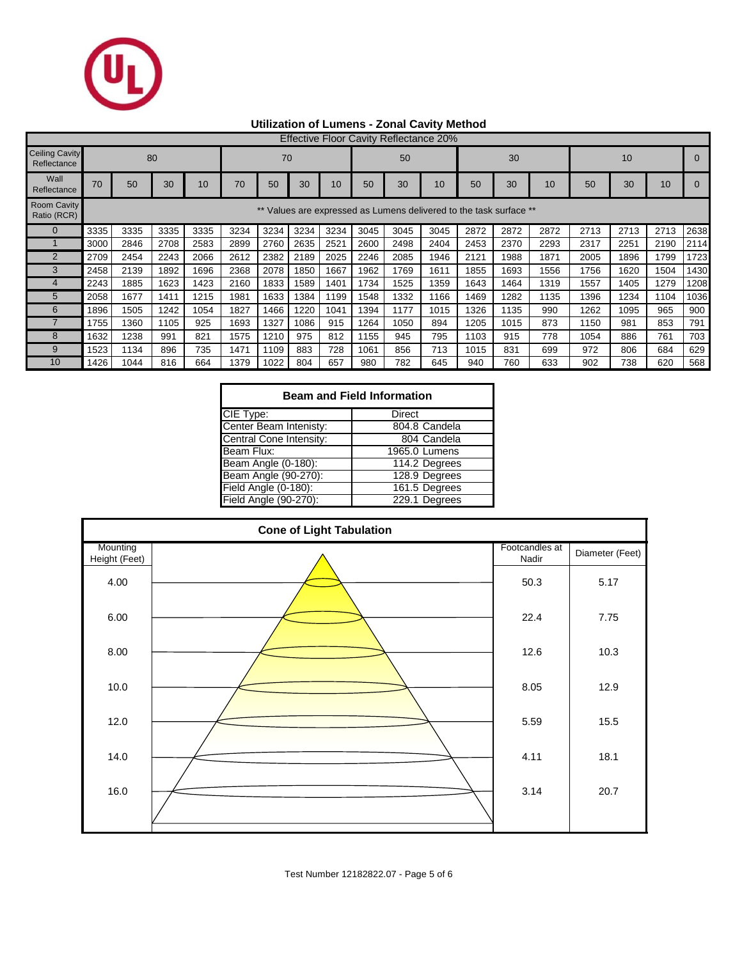

# **Utilization of Lumens - Zonal Cavity Method**

|                                      | <b>Effective Floor Cavity Reflectance 20%</b> |                                                                 |      |      |      |      |      |      |      |      |      |      |      |      |      |      |      |      |
|--------------------------------------|-----------------------------------------------|-----------------------------------------------------------------|------|------|------|------|------|------|------|------|------|------|------|------|------|------|------|------|
| <b>Ceiling Cavity</b><br>Reflectance |                                               | 80<br>70                                                        |      |      |      |      |      |      | 50   |      |      | 30   |      |      | 10   |      |      |      |
| Wall<br>Reflectance                  | 70                                            | 50                                                              | 30   | 10   | 70   | 50   | 30   | 10   | 50   | 30   | 10   | 50   | 30   | 10   | 50   | 30   | 10   |      |
| <b>Room Cavity</b><br>Ratio (RCR)    |                                               | Values are expressed as Lumens delivered to the task surface ** |      |      |      |      |      |      |      |      |      |      |      |      |      |      |      |      |
|                                      | 3335                                          | 3335                                                            | 3335 | 3335 | 3234 | 3234 | 3234 | 3234 | 3045 | 3045 | 3045 | 2872 | 2872 | 2872 | 2713 | 2713 | 2713 | 2638 |
|                                      | 3000                                          | 2846                                                            | 2708 | 2583 | 2899 | 2760 | 2635 | 2521 | 2600 | 2498 | 2404 | 2453 | 2370 | 2293 | 2317 | 2251 | 2190 | 2114 |
| $\overline{2}$                       | 2709                                          | 2454                                                            | 2243 | 2066 | 2612 | 2382 | 2189 | 2025 | 2246 | 2085 | 1946 | 2121 | 1988 | 1871 | 2005 | 1896 | 1799 | 1723 |
| 3                                    | 2458                                          | 2139                                                            | 1892 | 1696 | 2368 | 2078 | 1850 | 1667 | 1962 | 1769 | 1611 | 1855 | 1693 | 1556 | 1756 | 1620 | 1504 | 1430 |
|                                      | 2243                                          | 1885                                                            | 1623 | 1423 | 2160 | 1833 | 1589 | 1401 | 1734 | 1525 | 1359 | 1643 | 1464 | 1319 | 1557 | 1405 | 1279 | 1208 |
| 5                                    | 2058                                          | 1677                                                            | 1411 | 1215 | 1981 | 1633 | 1384 | 1199 | 1548 | 1332 | 1166 | 1469 | 1282 | 1135 | 1396 | 1234 | 1104 | 1036 |
| 6                                    | 1896                                          | 1505                                                            | 1242 | 1054 | 1827 | 1466 | 1220 | 1041 | 1394 | 1177 | 1015 | 1326 | 1135 | 990  | 1262 | 1095 | 965  | 900  |
|                                      | 1755                                          | 1360                                                            | 1105 | 925  | 1693 | 1327 | 1086 | 915  | 1264 | 1050 | 894  | 1205 | 1015 | 873  | 1150 | 981  | 853  | 791  |
| 8                                    | 1632                                          | 1238                                                            | 991  | 821  | 1575 | 1210 | 975  | 812  | 1155 | 945  | 795  | 1103 | 915  | 778  | 1054 | 886  | 761  | 703  |
| 9                                    | 1523                                          | 1134                                                            | 896  | 735  | 1471 | 1109 | 883  | 728  | 1061 | 856  | 713  | 1015 | 831  | 699  | 972  | 806  | 684  | 629  |
| 10                                   | 1426                                          | 1044                                                            | 816  | 664  | 1379 | 1022 | 804  | 657  | 980  | 782  | 645  | 940  | 760  | 633  | 902  | 738  | 620  | 568  |

| <b>Beam and Field Information</b> |               |  |  |  |  |  |  |  |
|-----------------------------------|---------------|--|--|--|--|--|--|--|
| CIE Type:                         | Direct        |  |  |  |  |  |  |  |
| Center Beam Intenisty:            | 804.8 Candela |  |  |  |  |  |  |  |
| Central Cone Intensity:           | 804 Candela   |  |  |  |  |  |  |  |
| Beam Flux:                        | 1965.0 Lumens |  |  |  |  |  |  |  |
| Beam Angle (0-180):               | 114.2 Degrees |  |  |  |  |  |  |  |
| Beam Angle (90-270):              | 128.9 Degrees |  |  |  |  |  |  |  |
| Field Angle (0-180):              | 161.5 Degrees |  |  |  |  |  |  |  |
| Field Angle (90-270):             | 229.1 Degrees |  |  |  |  |  |  |  |